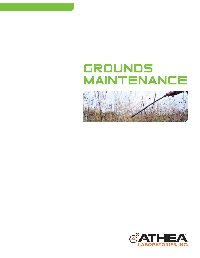# Grounds Maintenance



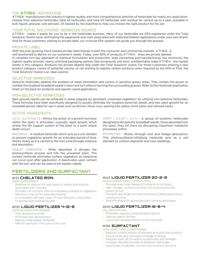## THE **ATHEA®** ADVANTAGE

ATHEA® manufacturers the industry's highest-quality and most comprehensive selection of herbicides for nearly any application. Choose from selective herbicides, total kill herbicides, and total kill herbicides with residual for control up to a year, available in bulk liquids, granular, and aerosols. All backed by the expertise to help you choose the right product for the job.

## YOUR TOTAL SOLUTIONS<sup>®</sup> HERBICIDE SOURCE

ATHEA® makes it easier for you to be in the herbicides business. Many of our herbicides are EPA-registered under the Total Solutions® brand name, eliminating the paperwork and costs associated with state and federal registrations under your own brand. And for those customers wishing to private label, our in-house EPA experts can guide you through the process.

#### PRIVATE LABEL

With the ever-growing trend toward private label brands in both the consumer and commercial markets, ATHEA® is well-positioned to deliver on our customer's needs. Today, over 90% of products ATHEA® ships are private labeled. A complete turn-key approach of chemical formulation and production, wipe converting and manufacturing, low minimums, the highest-quality artwork, nearly unlimited packaging options, fast turnaround, and strict confidentiality make ATHEA® the market leader in this category. Products not private labeled ship under the Total Solutions® brand. For those customers entering a new product category unsure of potential volume, or not wishing to register certain products when required by the EPA or FDA, the Total Solutions® brand is an ideal solution.

#### SELECTIVE HERBICIDES

Selective herbicides address the problem of weed elimination and control in sensitive grassy areas. They contain the power to combat the toughest broadleaf weeds in lawn and turf without harming the surrounding grasses. Refer to the Herbicide Application Chart on the back for products and specific weed applications.

## NON-SELECTIVE HERBICIDES

Bare ground results can be achieved in areas plagued by persistent unwanted vegetation by utilizing non-selective herbicides. These formulas have been specifically designed to quickly eliminate the toughest perennial weeds, and new plant growth for an extended period. Ideal for use in areas such as ditches, fence rows, parking lots, patios, brick paths and railroad tracks.

## ACTIVE INGREDIENTS

2,4-D / 2,4-D SALTS - Mimics the action of a growth hormone within the plant. It stimulates unusually rapid growth which strains the life support system of the plant to a point where death occurs.

BROMACIL - A residual herbicide which acts as a soil sterilant to prevent vegetation growth for an extended period of time. Works slowly as it is carried to the root zone through moisture and absorption.

DIQUAT DIBROMIDE - When absorbed, it disrupts the photosynthesis process and kills the unwanted plant. This contact herbicide eliminates surface vegetation so replanting can occur soon after application. It deactivates upon contact with the soil, and can be used to kill aquatic weeds.

## FeRTILIZeRS aND SURFaCTaNT

## #133 Chelated Iron

#### IRON SUPPLEMENT

- Reverses or reduces the pale green or yellow discoloration associated with chlorosis
- Provides iron in a form that is immediately available to vegetation
- Remains in the soil for extended feeding
- Is compatible with tank mixes of most fertilizers, insecticides fungicides and penetrating aids

## #230 liquid Fertilizer 4-12-8

#### LATE-SEASON WINTERIZER

- High phosphorus levels
- Promotes root development
- Ideal as a late-season winterizer
- Safe for application throughout the year

MCPP  $/$  2,4-DP  $/$  2,4-D - A group of systemic herbicides designed to kill specific broadleaf weeds. Once absorbed into the plant, they kill them by disrupting important metabolic processes within.

PROMETON - Works through root and foliage absorption. This photosynthesis-inhibiting herbicide acts as a soil sterilant to control regrowth and new seedlings.

#### #242 liquid Fertilizer 20-2-3 QUICK GREEN EARLY SPRING FEED

- Provides even, slow release of nutrients to turf grass
- High nitrogen content promotes lush greening and fast growth of turf
- Nutrients last longer and are more evenly distributed without causing burning
- Recommended for spring and early summer application

#### #245 liquid Fertilizer 16-8-4 ALL-SEASON MIX

- Promotes vigorous, sustained plant growth
- Ideal all-season fertilizer
- Liquid formula goes directly to the root zone

## #395 SurFactant

#### NON-IONIC TURF CONDITIONER

- Reduces surface tension of fertilizers and pesticide solutions
- Assures even and thorough coverage of foliage
- Reduces wash-off of expensive pesticides and fertilizers
- Increases the effectiveness of fertilizers, herbicides, insecticides, fungicides, iron and micronutrient solutions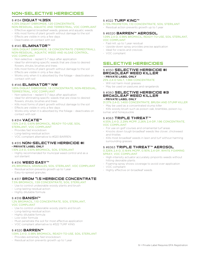## NON-selective herbicides

#### § #134 diquat 4.35%

4.35% DIQUAT DIBROMIDE, 1:20 CONCENTRATE, NON-RESIDUAL, AQUATIC AND TERRESTRIAL, VOC COMPLIANT

- Effective against broadleaf weeds, grasses and aquatic weeds
- Kills most forms of plant growth without damage to the soil
- Effects are visible in only a few days
- Deactivates on contact with soil

## § #145 **ELIMINATOR™**

1.85% DIQUAT DIBROMIDE, 1:8 CONCENTRATE (TERRESTRIAL), NON-RESIDUAL, AQUATIC WEED AND ALGAE CONTROL, VOC COMPLIANT

- Non-selective replant 5-7 days after application
- Ideal for eliminating specific weeds that are close to desired flowers, shrubs, brushes and trees
- Kills most forms of plant growth without damage to the soil
- Effects are visible in only a few days
- Works only when it is absorbed by the foliage deactivates on contact with soil

## § #146 **ELIMINATOR™ NW**

#### 1.85% DIQUAT DIBROMIDE, 1:8 CONCENTRATE, NON-RESIDUAL, TERRESTRIAL, VOC COMPLIANT

- Non-selective replant 5-7 days after application
- Ideal for eliminating specific weeds that are close to desired flowers, shrubs, brushes and trees
- Kills most forms of plant growth without damage to the soil
- Effects are visible in only a few days
- Works only when it is absorbed by the foliage deactivates on contact with soil

## § #314 VACATE™

#### 1.10% 2,4-D, 0.61% BROMACIL, READY-TO-USE, SOIL STERILANT, VOC COMPLIANT

- Provides fast knockdown
- Long-lasting residual action
- VOC compliant alternative to #320 BARREN

#### § #315 NON-SELECTIVE HERBICIDE #1 **- PRIVATE LABEL ONLY**

#### 1.10% 2,4-D, 0.61% BROMACIL, SOIL STERILANT

- Highly recommended for municipal weed control and as a soil sterilant

#### § #316 **WEED EASY**™ 4% BROMACIL GRANULES, SOIL STERILANT, VOC COMPLIANT

- Residual action prevents growth up to 1 year
- Easy-to-spread granules

## § #317 **BROM 7.5 HERBICIDE CONCENTRATE**

- 7.5% BROMACIL, 1:59 CONCENTRATE, SOIL STERILANT
- Use to control undesirable woody plants and brush
- Long-lasting residual action
- Highly dilutable formula

## § #318 **BANISH™**

#### 1.2% BROMACIL, 1:10 CONCENTRATE, SOIL STERILANT, VOC COMPLIANT

- Use to control undesirable woody plants and brush
- Long-lasting residual action
- Highly dilutable formula
- Low-odor formula
- Must penetrate the soil for most effective application
- VOC compliant alternative to #322 TURF KING

#### § #320 **BARREN™**

#### 1.09% 2,4-D, 0.98% BROMACIL, READY-TO-USE, SOIL STERILANT

- Provides extremely fast knockdown
- Residual action prevents growth up to 1 year

#### § #322 **TURF KING™**

- 3.73% PROMETON, 1:10 CONCENTRATE, SOIL STERILANT
- Residual action prevents growth up to 1 year

#### § #8320 **BARREN™ AEROSOL**

#### 1.09% 2,4-D, 0.98% BROMACIL, READY-TO-USE, SOIL STERILANT, VOC COMPLIANT

- Fast-kill, up to 1 year residual
- Upside-down spray provides precise application
- Ideal for cracks and crevices
- VOC compliant

## selective herbicides

#### § #350 SELECTIVE HERBICIDE #I broadleaF Weed killer  **- PRIVATE LABEL ONLY**

#### 25% 2,4-D SALT, 1:384 CONCENTRATE

- Will not harm most grasses
- May be used on pastures and rangelands

## § #360 SELECTIVE HERBICIDE #3 broadleaF Weed killer

## **- PRIVATE LABEL ONLY**

- 31.37% 2,4-D, 1:400 CONCENTRATE, BRUSH AND STUMP KILLER
- May be used as a concentrated stump killer
- Kills woody brush such as poison oak, brambles, poison ivy, sumac and honeysuckle

#### § #363 TRIPLE THREAT™

#### 4.55% 2,4-D, 2.29% MCPP, 2.26% 2,4-DP, 1:96 CONCENTRATE, VOC COMPLIANT

- For use on golf courses and ornamental turf areas
- Knocks down tough broadleaf weeds like clover, chickweed and thistles
- Kills most broadleaf weeds in lawn and turf without harming surrounding grasses

## § #8363 TRIPLE THREAT™ AEROSOL

#### 0.326% 2,4-D, 0.164% MCPP, 0.161% 2,4-DP, WHITE FOAMING SPRAY, VOC COMPLIANT

- High-intensity actuator accurately pinpoints weeds without hitting desirable plants
- Foaming spray shows coverage to avoid over-application
- VOC compliant
- Highly effective on broadleaf weeds